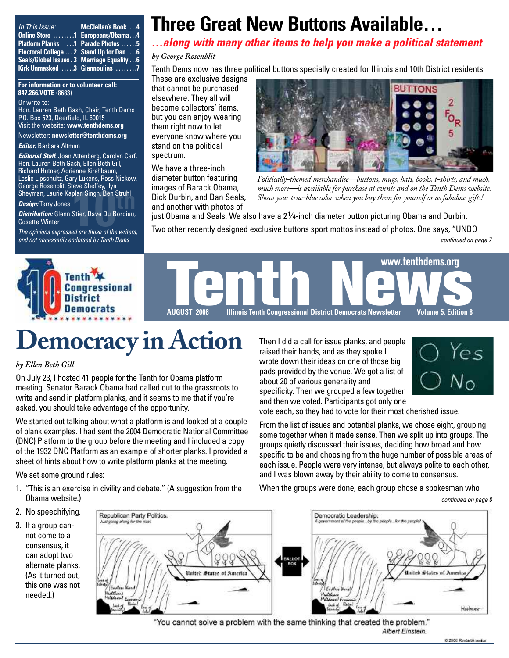*In This Issue:* **Kirk Unmasked . . . . .3 Giannoulias . . . . . . . .7**

**Online Store . . . . . . . .1 Europeans/Obama . . .4 Platform Planks . . . .1 Parade Photos . . . . . .5 Electoral College . . . 2 Stand Up for Dan . . .6 Seals/Global Issues .3 Marriage Equality . . .6 McClellan's Book . . .4**

#### **For information or to volunteer call: 847.266.VOTE** (8683)

#### Or write to:

Hon. Lauren Beth Gash, Chair, Tenth Dems P.O. Box 523, Deerfield, IL 60015 Visit the website: **[www.tenthdems.org](http://www.tenthdems.org)** 

#### Newsletter: **[newsletter@tenthdems.org](mailto:newsletter@tenthdems.org)**

#### *Editor:* Barbara Altman

*Editorial Staff*: Joan Attenberg, Carolyn Cerf, Hon. Lauren Beth Gash, Ellen Beth Gill, Richard Hutner, Adrienne Kirshbaum, Leslie Lipschultz, Gary Lukens, Ross Nickow, George Rosenblit, Steve Sheffey, Ilya Sheyman, Laurie Kaplan Singh, Ben Struhl

#### *Design:* Terry Jones

**10th** Sheyman, Laurie Kaplan Singh, Ben Struhl<br> *Design:* Terry Jones<br> **Distribution:** Glenn Stier, Dave Du Bordieu,<br>
Cosette Winter<br>
The opinions expressed are those of the writers, *Distribution:* Glenn Stier, Dave Du Bordieu, Cosette Winter

*and not necessarily endorsed by Tenth Dems*

## **Three Great New Buttons Available…**

*…along with many other items to help you make a political statement*

#### *by George Rosenblit*

Tenth Dems now has three political buttons specially created for Illinois and 10th District residents. These are exclusive designs

that cannot be purchased elsewhere. They all will become collectors' items, but you can enjoy wearing them right now to let everyone know where you stand on the political spectrum.

We have a three-inch diameter button featuring images of Barack Obama, Dick Durbin, and Dan Seals, and another with photos of



*Politically-themed merchandise—buttons, mugs, hats, books, t-shirts, and much, much more—is available for purchase at events and on the Tenth Dems website. Show your true-blue color when you buy them for yourself or as fabulous gifts!*

just Obama and Seals. We also have a 21⁄4-inch diameter button picturing Obama and Durbin.

Two other recently designed exclusive buttons sport mottos instead of photos. One says, "UNDO *continued on page 7*



# **Democracy in Action**

#### *by Ellen Beth Gill*

On July 23, I hosted 41 people for the Tenth for Obama platform meeting. Senator Barack Obama had called out to the grassroots to write and send in platform planks, and it seems to me that if you're asked, you should take advantage of the opportunity.

We started out talking about what a platform is and looked at a couple of plank examples. I had sent the 2004 Democratic National Committee (DNC) Platform to the group before the meeting and I included a copy of the 1932 DNC Platform as an example of shorter planks. I provided a sheet of hints about how to write platform planks at the meeting.

We set some ground rules:

- 1. "This is an exercise in civility and debate." (A suggestion from the Obama website.)
- 2. No speechifying.
- 3. If a group cannot come to a consensus, it can adopt two alternate planks. (As it turned out, this one was not needed.)



"You cannot solve a problem with the same thinking that created the problem." Albert Einstein.

Then I did a call for issue planks, and people raised their hands, and as they spoke I wrote down their ideas on one of those big pads provided by the venue. We got a list of about 20 of various generality and specificity. Then we grouped a few together and then we voted. Participants got only one



vote each, so they had to vote for their most cherished issue.

From the list of issues and potential planks, we chose eight, grouping some together when it made sense. Then we split up into groups. The groups quietly discussed their issues, deciding how broad and how specific to be and choosing from the huge number of possible areas of each issue. People were very intense, but always polite to each other, and I was blown away by their ability to come to consensus.

When the groups were done, each group chose a spokesman who

*continued on page 8*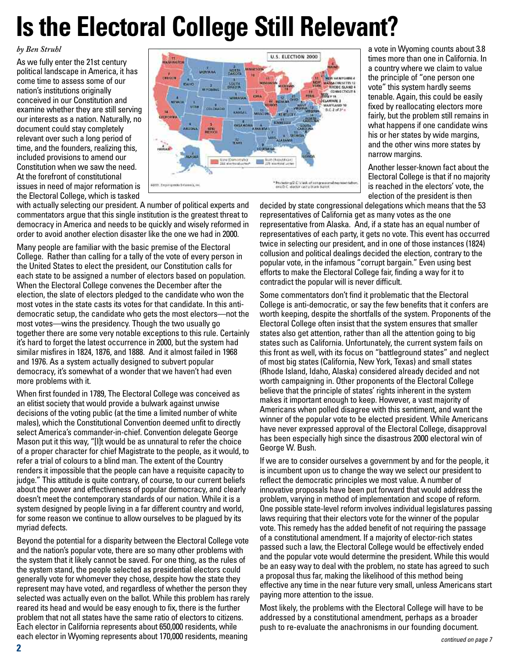# **Is the Electoral College Still Relevant?**

*by Ben Struhl*

As we fully enter the 21st century political landscape in America, it has come time to assess some of our nation's institutions originally conceived in our Constitution and examine whether they are still serving our interests as a nation. Naturally, no document could stay completely relevant over such a long period of time, and the founders, realizing this, included provisions to amend our Constitution when we saw the need. At the forefront of constitutional issues in need of major reformation is the Electoral College, which is tasked



with actually selecting our president. A number of political experts and commentators argue that this single institution is the greatest threat to democracy in America and needs to be quickly and wisely reformed in order to avoid another election disaster like the one we had in 2000.

Many people are familiar with the basic premise of the Electoral College. Rather than calling for a tally of the vote of every person in the United States to elect the president, our Constitution calls for each state to be assigned a number of electors based on population. When the Electoral College convenes the December after the election, the slate of electors pledged to the candidate who won the most votes in the state casts its votes for that candidate. In this antidemocratic setup, the candidate who gets the most electors—not the most votes—wins the presidency. Though the two usually go together there are some very notable exceptions to this rule. Certainly it's hard to forget the latest occurrence in 2000, but the system had similar misfires in 1824, 1876, and 1888. And it almost failed in 1968 and 1976. As a system actually designed to subvert popular democracy, it's somewhat of a wonder that we haven't had even more problems with it.

When first founded in 1789, The Electoral College was conceived as an elitist society that would provide a bulwark against unwise decisions of the voting public (at the time a limited number of white males), which the Constitutional Convention deemed unfit to directly select America's commander-in-chief. Convention delegate George Mason put it this way, "[I]t would be as unnatural to refer the choice of a proper character for chief Magistrate to the people, as it would, to refer a trial of colours to a blind man. The extent of the Country renders it impossible that the people can have a requisite capacity to judge." This attitude is quite contrary, of course, to our current beliefs about the power and effectiveness of popular democracy, and clearly doesn't meet the contemporary standards of our nation. While it is a system designed by people living in a far different country and world. for some reason we continue to allow ourselves to be plagued by its myriad defects.

Beyond the potential for a disparity between the Electoral College vote and the nation's popular vote, there are so many other problems with the system that it likely cannot be saved. For one thing, as the rules of the system stand, the people selected as presidential electors could generally vote for whomever they chose, despite how the state they represent may have voted, and regardless of whether the person they selected was actually even on the ballot. While this problem has rarely reared its head and would be easy enough to fix, there is the further problem that not all states have the same ratio of electors to citizens. Each elector in California represents about 650,000 residents, while each elector in Wyoming represents about 170,000 residents, meaning

a vote in Wyoming counts about 3.8 times more than one in California. In a country where we claim to value the principle of "one person one vote" this system hardly seems tenable. Again, this could be easily fixed by reallocating electors more fairly, but the problem still remains in what happens if one candidate wins his or her states by wide margins, and the other wins more states by narrow margins.

Another lesser-known fact about the Electoral College is that if no majority is reached in the electors' vote, the election of the president is then

decided by state congressional delegations which means that the 53 representatives of California get as many votes as the one representative from Alaska. And, if a state has an equal number of representatives of each party, it gets no vote. This event has occurred twice in selecting our president, and in one of those instances (1824) collusion and political dealings decided the election, contrary to the popular vote, in the infamous "corrupt bargain." Even using best efforts to make the Electoral College fair, finding a way for it to contradict the popular will is never difficult.

Some commentators don't find it problematic that the Electoral College is anti-democratic, or say the few benefits that it confers are worth keeping, despite the shortfalls of the system. Proponents of the Electoral College often insist that the system ensures that smaller states also get attention, rather than all the attention going to big states such as California. Unfortunately, the current system fails on this front as well, with its focus on "battleground states" and neglect of most big states (California, New York, Texas) and small states (Rhode Island, Idaho, Alaska) considered already decided and not worth campaigning in. Other proponents of the Electoral College believe that the principle of states' rights inherent in the system makes it important enough to keep. However, a vast majority of Americans when polled disagree with this sentiment, and want the winner of the popular vote to be elected president. While Americans have never expressed approval of the Electoral College, disapproval has been especially high since the disastrous 2000 electoral win of George W. Bush.

If we are to consider ourselves a government by and for the people, it is incumbent upon us to change the way we select our president to reflect the democratic principles we most value. A number of innovative proposals have been put forward that would address the problem, varying in method of implementation and scope of reform. One possible state-level reform involves individual legislatures passing laws requiring that their electors vote for the winner of the popular vote. This remedy has the added benefit of not requiring the passage of a constitutional amendment. If a majority of elector-rich states passed such a law, the Electoral College would be effectively ended and the popular vote would determine the president. While this would be an easy way to deal with the problem, no state has agreed to such a proposal thus far, making the likelihood of this method being effective any time in the near future very small, unless Americans start paying more attention to the issue.

Most likely, the problems with the Electoral College will have to be addressed by a constitutional amendment, perhaps as a broader push to re-evaluate the anachronisms in our founding document.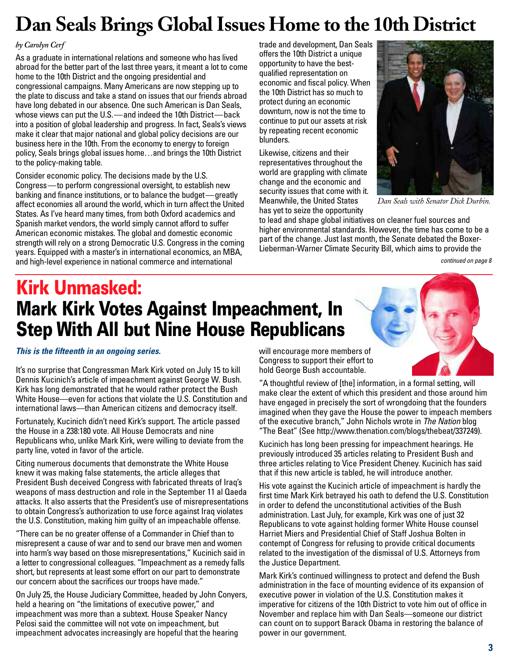## **Dan Seals Brings Global Issues Home to the 10th District**

### *by Carolyn Cerf*

As a graduate in international relations and someone who has lived abroad for the better part of the last three years, it meant a lot to come home to the 10th District and the ongoing presidential and congressional campaigns. Many Americans are now stepping up to the plate to discuss and take a stand on issues that our friends abroad have long debated in our absence. One such American is Dan Seals, whose views can put the U.S.—and indeed the 10th District—back into a position of global leadership and progress. In fact, Seals's views make it clear that major national and global policy decisions are our business here in the 10th. From the economy to energy to foreign policy, Seals brings global issues home…and brings the 10th District to the policy-making table.

Consider economic policy. The decisions made by the U.S. Congress—to perform congressional oversight, to establish new banking and finance institutions, or to balance the budget—greatly affect economies all around the world, which in turn affect the United States. As I've heard many times, from both Oxford academics and Spanish market vendors, the world simply cannot afford to suffer American economic mistakes. The global and domestic economic strength will rely on a strong Democratic U.S. Congress in the coming years. Equipped with a master's in international economics, an MBA, and high-level experience in national commerce and international

trade and development, Dan Seals offers the 10th District a unique opportunity to have the bestqualified representation on economic and fiscal policy. When the 10th District has so much to protect during an economic downturn, now is not the time to continue to put our assets at risk by repeating recent economic blunders.

Likewise, citizens and their representatives throughout the world are grappling with climate change and the economic and security issues that come with it. Meanwhile, the United States has yet to seize the opportunity



*Dan Seals with Senator Dick Durbin.*

to lead and shape global initiatives on cleaner fuel sources and higher environmental standards. However, the time has come to be a part of the change. Just last month, the Senate debated the Boxer-Lieberman-Warner Climate Security Bill, which aims to provide the

*continued on page 8*

## **Kirk Unmasked: Mark Kirk Votes Against Impeachment, In Step With All but Nine House Republicans**

*This is the fifteenth in an ongoing series.*

It's no surprise that Congressman Mark Kirk voted on July 15 to kill Dennis Kucinich's article of impeachment against George W. Bush. Kirk has long demonstrated that he would rather protect the Bush White House—even for actions that violate the U.S. Constitution and international laws—than American citizens and democracy itself.

Fortunately, Kucinich didn't need Kirk's support. The article passed the House in a 238:180 vote. All House Democrats and nine Republicans who, unlike Mark Kirk, were willing to deviate from the party line, voted in favor of the article.

Citing numerous documents that demonstrate the White House knew it was making false statements, the article alleges that President Bush deceived Congress with fabricated threats of Iraq's weapons of mass destruction and role in the September 11 al Qaeda attacks. It also asserts that the President's use of misrepresentations to obtain Congress's authorization to use force against Iraq violates the U.S. Constitution, making him guilty of an impeachable offense.

"There can be no greater offense of a Commander in Chief than to misrepresent a cause of war and to send our brave men and women into harm's way based on those misrepresentations," Kucinich said in a letter to congressional colleagues. "Impeachment as a remedy falls short, but represents at least some effort on our part to demonstrate our concern about the sacrifices our troops have made."

On July 25, the House Judiciary Committee, headed by John Conyers, held a hearing on "the limitations of executive power," and impeachment was more than a subtext. House Speaker Nancy Pelosi said the committee will not vote on impeachment, but impeachment advocates increasingly are hopeful that the hearing

will encourage more members of Congress to support their effort to hold George Bush accountable.

"A thoughtful review of [the] information, in a formal setting, will make clear the extent of which this president and those around him have engaged in precisely the sort of wrongdoing that the founders imagined when they gave the House the power to impeach members of the executive branch," John Nichols wrote in *The Nation* blog "The Beat" (See [http://www.thenation.com/blogs/thebeat/33724](http://www.thenation.com/blogs/thebeat/337249)9).

Kucinich has long been pressing for impeachment hearings. He previously introduced 35 articles relating to President Bush and three articles relating to Vice President Cheney. Kucinich has said that if this new article is tabled, he will introduce another.

His vote against the Kucinich article of impeachment is hardly the first time Mark Kirk betrayed his oath to defend the U.S. Constitution in order to defend the unconstitutional activities of the Bush administration. Last July, for example, Kirk was one of just 32 Republicans to vote against holding former White House counsel Harriet Miers and Presidential Chief of Staff Joshua Bolten in contempt of Congress for refusing to provide critical documents related to the investigation of the dismissal of U.S. Attorneys from the Justice Department.

Mark Kirk's continued willingness to protect and defend the Bush administration in the face of mounting evidence of its expansion of executive power in violation of the U.S. Constitution makes it imperative for citizens of the 10th District to vote him out of office in November and replace him with Dan Seals—someone our district can count on to support Barack Obama in restoring the balance of power in our government.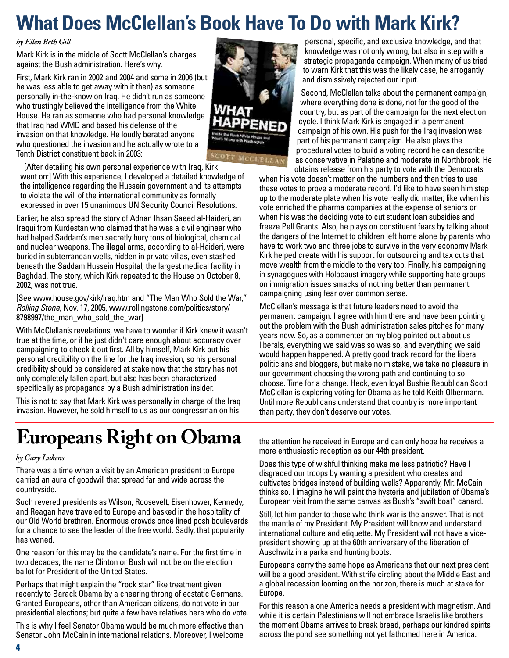## **What Does McClellan's Book Have To Do with Mark Kirk?**

### *by Ellen Beth Gill*

Mark Kirk is in the middle of Scott McClellan's charges against the Bush administration. Here's why.

First, Mark Kirk ran in 2002 and 2004 and some in 2006 (but he was less able to get away with it then) as someone personally in-the-know on Iraq. He didn't run as someone who trustingly believed the intelligence from the White House. He ran as someone who had personal knowledge that Iraq had WMD and based his defense of the invasion on that knowledge. He loudly berated anyone who questioned the invasion and he actually wrote to a Tenth District constituent back in 2003:



[After detailing his own personal experience with Iraq, Kirk

went on:] With this experience, I developed a detailed knowledge of the intelligence regarding the Hussein government and its attempts to violate the will of the international community as formally expressed in over 15 unanimous UN Security Council Resolutions.

Earlier, he also spread the story of Adnan Ihsan Saeed al-Haideri, an Iraqui from Kurdestan who claimed that he was a civil engineer who had helped Saddam's men secretly bury tons of biological, chemical and nuclear weapons. The illegal arms, according to al-Haideri, were buried in subterranean wells, hidden in private villas, even stashed beneath the Saddam Hussein Hospital, the largest medical facility in Baghdad. The story, which Kirk repeated to the House on October 8, 2002, was not true.

[See [www.house.gov/kirk/iraq.htm an](http://www.house.gov/kirk/iraq.htm)d "The Man Who Sold the War," *Rolling Stone*, Nov. 17, 2005, [www.rollingstone.com/politics/story/](http://www.rollingstone.com/politics/story) 8798997/the\_man\_who\_sold\_the\_war]

With McClellan's revelations, we have to wonder if Kirk knew it wasn't true at the time, or if he just didn't care enough about accuracy over campaigning to check it out first. All by himself, Mark Kirk put his personal credibility on the line for the Iraq invasion, so his personal credibility should be considered at stake now that the story has not only completely fallen apart, but also has been characterized specifically as propaganda by a Bush administration insider.

This is not to say that Mark Kirk was personally in charge of the Iraq invasion. However, he sold himself to us as our congressman on his

personal, specific, and exclusive knowledge, and that knowledge was not only wrong, but also in step with a strategic propaganda campaign. When many of us tried to warn Kirk that this was the likely case, he arrogantly and dismissively rejected our input.

Second, McClellan talks about the permanent campaign, where everything done is done, not for the good of the country, but as part of the campaign for the next election cycle. I think Mark Kirk is engaged in a permanent campaign of his own. His push for the Iraq invasion was part of his permanent campaign. He also plays the procedural votes to build a voting record he can describe as conservative in Palatine and moderate in Northbrook. He obtains release from his party to vote with the Democrats

when his vote doesn't matter on the numbers and then tries to use these votes to prove a moderate record. I'd like to have seen him step up to the moderate plate when his vote really did matter, like when his vote enriched the pharma companies at the expense of seniors or when his was the deciding vote to cut student loan subsidies and freeze Pell Grants. Also, he plays on constituent fears by talking about the dangers of the Internet to children left home alone by parents who have to work two and three jobs to survive in the very economy Mark Kirk helped create with his support for outsourcing and tax cuts that move wealth from the middle to the very top. Finally, his campaigning in synagogues with Holocaust imagery while supporting hate groups on immigration issues smacks of nothing better than permanent campaigning using fear over common sense.

McClellan's message is that future leaders need to avoid the permanent campaign. I agree with him there and have been pointing out the problem with the Bush administration sales pitches for many years now. So, as a commenter on my blog pointed out about us liberals, everything we said was so was so, and everything we said would happen happened. A pretty good track record for the liberal politicians and bloggers, but make no mistake, we take no pleasure in our government choosing the wrong path and continuing to so choose. Time for a change. Heck, even loyal Bushie Republican Scott McClellan is exploring voting for Obama as he told Keith Olbermann. Until more Republicans understand that country is more important than party, they don't deserve our votes.

## **Europeans Right on Obama**

### *by Gary Lukens*

There was a time when a visit by an American president to Europe carried an aura of goodwill that spread far and wide across the countryside.

Such revered presidents as Wilson, Roosevelt, Eisenhower, Kennedy, and Reagan have traveled to Europe and basked in the hospitality of our Old World brethren. Enormous crowds once lined posh boulevards for a chance to see the leader of the free world. Sadly, that popularity has waned.

One reason for this may be the candidate's name. For the first time in two decades, the name Clinton or Bush will not be on the election ballot for President of the United States.

Perhaps that might explain the "rock star" like treatment given recently to Barack Obama by a cheering throng of ecstatic Germans. Granted Europeans, other than American citizens, do not vote in our presidential elections; but quite a few have relatives here who do vote.

This is why I feel Senator Obama would be much more effective than Senator John McCain in international relations. Moreover, I welcome the attention he received in Europe and can only hope he receives a more enthusiastic reception as our 44th president.

Does this type of wishful thinking make me less patriotic? Have I disgraced our troops by wanting a president who creates and cultivates bridges instead of building walls? Apparently, Mr. McCain thinks so. I imagine he will paint the hysteria and jubilation of Obama's European visit from the same canvas as Bush's "swift boat" canard.

Still, let him pander to those who think war is the answer. That is not the mantle of my President. My President will know and understand international culture and etiquette. My President will not have a vicepresident showing up at the 60th anniversary of the liberation of Auschwitz in a parka and hunting boots.

Europeans carry the same hope as Americans that our next president will be a good president. With strife circling about the Middle East and a global recession looming on the horizon, there is much at stake for Europe.

For this reason alone America needs a president with magnetism. And while it is certain Palestinians will not embrace Israelis like brothers the moment Obama arrives to break bread, perhaps our kindred spirits across the pond see something not yet fathomed here in America.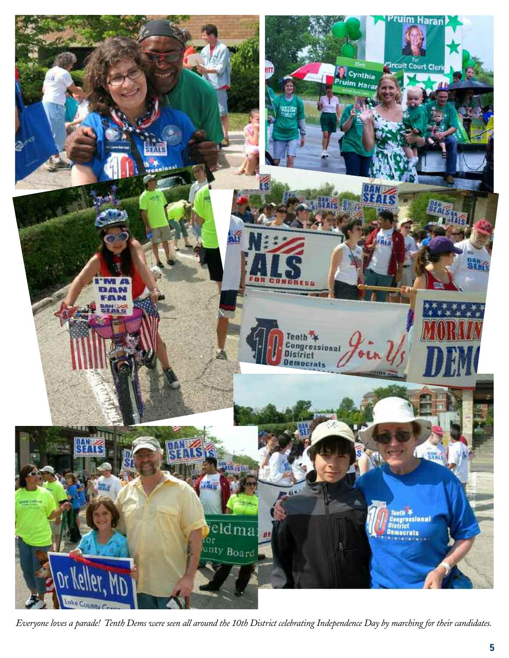

*Everyone loves a parade! Tenth Dems were seen all around the 10th District celebrating Independence Day by marching for their candidates.*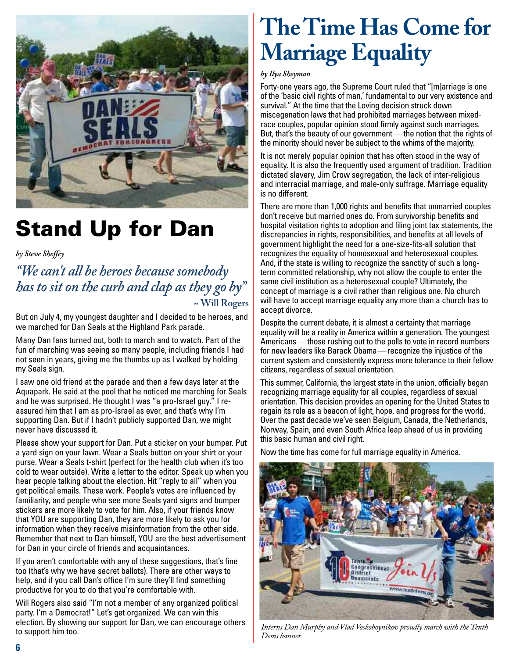

## **Stand Up for Dan**

*by Steve Sheffey*

*"We can't all be heroes because somebody has to sit on the curb and clap as they go by"* **~ Will Rogers**

But on July 4, my youngest daughter and I decided to be heroes, and we marched for Dan Seals at the Highland Park parade.

Many Dan fans turned out, both to march and to watch. Part of the fun of marching was seeing so many people, including friends I had not seen in years, giving me the thumbs up as I walked by holding my Seals sign.

I saw one old friend at the parade and then a few days later at the Aquapark. He said at the pool that he noticed me marching for Seals and he was surprised. He thought I was "a pro-Israel guy." I reassured him that I am as pro-Israel as ever, and that's why I'm supporting Dan. But if I hadn't publicly supported Dan, we might never have discussed it.

Please show your support for Dan. Put a sticker on your bumper. Put a yard sign on your lawn. Wear a Seals button on your shirt or your purse. Wear a Seals t-shirt (perfect for the health club when it's too cold to wear outside). Write a letter to the editor. Speak up when you hear people talking about the election. Hit "reply to all" when you get political emails. These work. People's votes are influenced by familiarity, and people who see more Seals yard signs and bumper stickers are more likely to vote for him. Also, if your friends know that YOU are supporting Dan, they are more likely to ask you for information when they receive misinformation from the other side. Remember that next to Dan himself, YOU are the best advertisement for Dan in your circle of friends and acquaintances.

If you aren't comfortable with any of these suggestions, that's fine too (that's why we have secret ballots). There are other ways to help, and if you call Dan's office I'm sure they'll find something productive for you to do that you're comfortable with.

Will Rogers also said "I'm not a member of any organized political party. I'm a Democrat!" Let's get organized. We can win this election. By showing our support for Dan, we can encourage others to support him too.

# **The Time Has Come for Marriage Equality**

### *by Ilya Sheyman*

Forty-one years ago, the Supreme Court ruled that "[m]arriage is one of the 'basic civil rights of man,' fundamental to our very existence and survival." At the time that the Loving decision struck down miscegenation laws that had prohibited marriages between mixedrace couples, popular opinion stood firmly against such marriages. But, that's the beauty of our government —the notion that the rights of the minority should never be subject to the whims of the majority.

It is not merely popular opinion that has often stood in the way of equality. It is also the frequently used argument of tradition. Tradition dictated slavery, Jim Crow segregation, the lack of inter-religious and interracial marriage, and male-only suffrage. Marriage equality is no different.

There are more than 1,000 rights and benefits that unmarried couples don't receive but married ones do. From survivorship benefits and hospital visitation rights to adoption and filing joint tax statements, the discrepancies in rights, responsibilities, and benefits at all levels of government highlight the need for a one-size-fits-all solution that recognizes the equality of homosexual and heterosexual couples. And, if the state is willing to recognize the sanctity of such a longterm committed relationship, why not allow the couple to enter the same civil institution as a heterosexual couple? Ultimately, the concept of marriage is a civil rather than religious one. No church will have to accept marriage equality any more than a church has to accept divorce.

Despite the current debate, it is almost a certainty that marriage equality will be a reality in America within a generation. The youngest Americans — those rushing out to the polls to vote in record numbers for new leaders like Barack Obama— recognize the injustice of the current system and consistently express more tolerance to their fellow citizens, regardless of sexual orientation.

This summer, California, the largest state in the union, officially began recognizing marriage equality for all couples, regardless of sexual orientation. This decision provides an opening for the United States to regain its role as a beacon of light, hope, and progress for the world. Over the past decade we've seen Belgium, Canada, the Netherlands, Norway, Spain, and even South Africa leap ahead of us in providing this basic human and civil right.

Now the time has come for full marriage equality in America.



*Interns Dan Murphy and Vlad Voskoboynikov proudly march with the Tenth Dems banner.*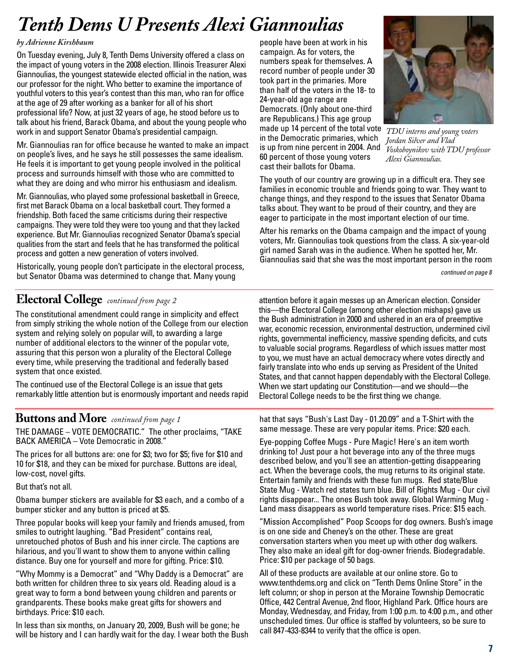## *Tenth Dems U Presents Alexi Giannoulias*

### *by Adrienne Kirshbaum*

On Tuesday evening, July 8, Tenth Dems University offered a class on the impact of young voters in the 2008 election. Illinois Treasurer Alexi Giannoulias, the youngest statewide elected official in the nation, was our professor for the night. Who better to examine the importance of youthful voters to this year's contest than this man, who ran for office at the age of 29 after working as a banker for all of his short professional life? Now, at just 32 years of age, he stood before us to talk about his friend, Barack Obama, and about the young people who work in and support Senator Obama's presidential campaign.

Mr. Giannoulias ran for office because he wanted to make an impact on people's lives, and he says he still possesses the same idealism. He feels it is important to get young people involved in the political process and surrounds himself with those who are committed to what they are doing and who mirror his enthusiasm and idealism.

Mr. Giannoulias, who played some professional basketball in Greece, first met Barack Obama on a local basketball court. They formed a friendship. Both faced the same criticisms during their respective campaigns. They were told they were too young and that they lacked experience. But Mr. Giannoulias recognized Senator Obama's special qualities from the start and feels that he has transformed the political process and gotten a new generation of voters involved.

Historically, young people don't participate in the electoral process, but Senator Obama was determined to change that. Many young

people have been at work in his campaign. As for voters, the numbers speak for themselves. A record number of people under 30 took part in the primaries. More than half of the voters in the 18- to 24-year-old age range are Democrats. (Only about one-third are Republicans.) This age group

made up 14 percent of the total vote *TDU interns and young voters* in the Democratic primaries, which is up from nine percent in 2004. And 60 percent of those young voters cast their ballots for Obama.



*Jordan Silver and Vlad Voskoboynikov with TDU professor Alexi Giannoulias.*

The youth of our country are growing up in a difficult era. They see families in economic trouble and friends going to war. They want to change things, and they respond to the issues that Senator Obama talks about. They want to be proud of their country, and they are eager to participate in the most important election of our time.

After his remarks on the Obama campaign and the impact of young voters, Mr. Giannoulias took questions from the class. A six-year-old girl named Sarah was in the audience. When he spotted her, Mr. Giannoulias said that she was the most important person in the room

*continued on page 8*

### **Electoral College** *continued from page 2*

The constitutional amendment could range in simplicity and effect from simply striking the whole notion of the College from our election system and relying solely on popular will, to awarding a large number of additional electors to the winner of the popular vote, assuring that this person won a plurality of the Electoral College every time, while preserving the traditional and federally based system that once existed.

The continued use of the Electoral College is an issue that gets remarkably little attention but is enormously important and needs rapid

### **Buttons and More** *continued from page 1*

THE DAMAGE – VOTE DEMOCRATIC." The other proclaims, "TAKE BACK AMERICA – Vote Democratic in 2008."

The prices for all buttons are: one for \$3; two for \$5; five for \$10 and 10 for \$18, and they can be mixed for purchase. Buttons are ideal, low-cost, novel gifts.

But that's not all.

Obama bumper stickers are available for \$3 each, and a combo of a bumper sticker and any button is priced at \$5.

Three popular books will keep your family and friends amused, from smiles to outright laughing. "Bad President" contains real, unretouched photos of Bush and his inner circle. The captions are hilarious, and you'll want to show them to anyone within calling distance. Buy one for yourself and more for gifting. Price: \$10.

"Why Mommy is a Democrat" and "Why Daddy is a Democrat" are both written for children three to six years old. Reading aloud is a great way to form a bond between young children and parents or grandparents. These books make great gifts for showers and birthdays. Price: \$10 each.

In less than six months, on January 20, 2009, Bush will be gone; he will be history and I can hardly wait for the day. I wear both the Bush

attention before it again messes up an American election. Consider this—the Electoral College (among other election mishaps) gave us the Bush administration in 2000 and ushered in an era of preemptive war, economic recession, environmental destruction, undermined civil rights, governmental inefficiency, massive spending deficits, and cuts to valuable social programs. Regardless of which issues matter most to you, we must have an actual democracy where votes directly and fairly translate into who ends up serving as President of the United States, and that cannot happen dependably with the Electoral College. When we start updating our Constitution—and we should—the Electoral College needs to be the first thing we change.

hat that says "Bush's Last Day - 01.20.09" and a T-Shirt with the same message. These are very popular items. Price: \$20 each.

Eye-popping Coffee Mugs - Pure Magic! Here's an item worth drinking to! Just pour a hot beverage into any of the three mugs described below, and you'll see an attention-getting disappearing act. When the beverage cools, the mug returns to its original state. Entertain family and friends with these fun mugs. Red state/Blue State Mug - Watch red states turn blue. Bill of Rights Mug - Our civil rights disappear... The ones Bush took away. Global Warming Mug - Land mass disappears as world temperature rises. Price: \$15 each.

"Mission Accomplished" Poop Scoops for dog owners. Bush's image is on one side and Cheney's on the other. These are great conversation starters when you meet up with other dog walkers. They also make an ideal gift for dog-owner friends. Biodegradable. Price: \$10 per package of 50 bags.

All of these products are available at our online store. Go to [www.tenthdems.org an](http://www.tenthdems.org)d click on "Tenth Dems Online Store" in the left column; or shop in person at the Moraine Township Democratic Office, 442 Central Avenue, 2nd floor, Highland Park. Office hours are Monday, Wednesday, and Friday, from 1:00 p.m. to 4:00 p.m., and other unscheduled times. Our office is staffed by volunteers, so be sure to call 847-433-8344 to verify that the office is open.